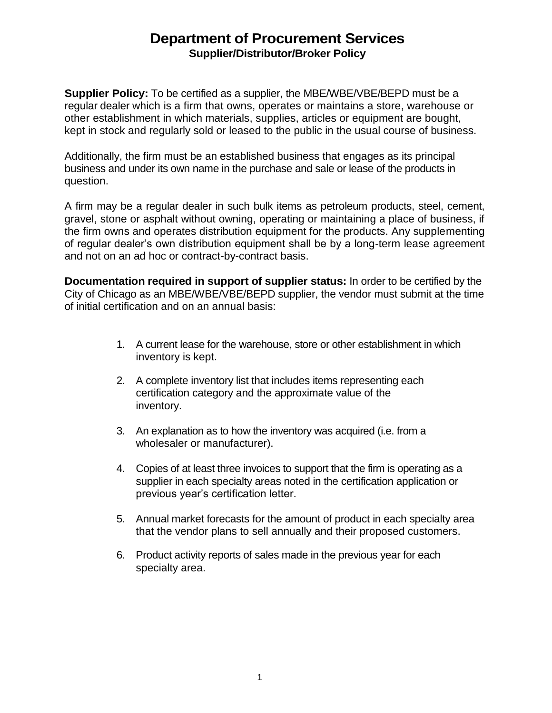## **Department of Procurement Services Supplier/Distributor/Broker Policy**

**Supplier Policy:** To be certified as a supplier, the MBE/WBE/VBE/BEPD must be a regular dealer which is a firm that owns, operates or maintains a store, warehouse or other establishment in which materials, supplies, articles or equipment are bought, kept in stock and regularly sold or leased to the public in the usual course of business.

Additionally, the firm must be an established business that engages as its principal business and under its own name in the purchase and sale or lease of the products in question.

A firm may be a regular dealer in such bulk items as petroleum products, steel, cement, gravel, stone or asphalt without owning, operating or maintaining a place of business, if the firm owns and operates distribution equipment for the products. Any supplementing of regular dealer's own distribution equipment shall be by a long-term lease agreement and not on an ad hoc or contract-by-contract basis.

**Documentation required in support of supplier status:** In order to be certified by the City of Chicago as an MBE/WBE/VBE/BEPD supplier, the vendor must submit at the time of initial certification and on an annual basis:

- 1. A current lease for the warehouse, store or other establishment in which inventory is kept.
- 2. A complete inventory list that includes items representing each certification category and the approximate value of the inventory.
- 3. An explanation as to how the inventory was acquired (i.e. from a wholesaler or manufacturer).
- 4. Copies of at least three invoices to support that the firm is operating as a supplier in each specialty areas noted in the certification application or previous year's certification letter.
- 5. Annual market forecasts for the amount of product in each specialty area that the vendor plans to sell annually and their proposed customers.
- 6. Product activity reports of sales made in the previous year for each specialty area.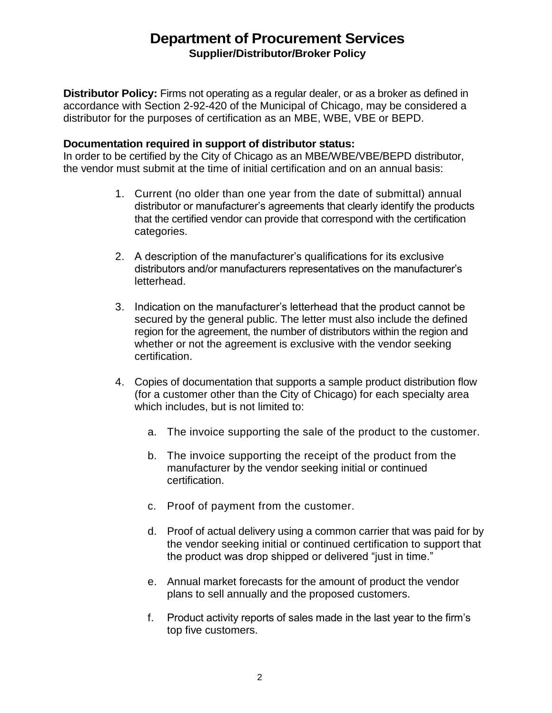## **Department of Procurement Services Supplier/Distributor/Broker Policy**

**Distributor Policy:** Firms not operating as a regular dealer, or as a broker as defined in accordance with Section 2-92-420 of the Municipal of Chicago, may be considered a distributor for the purposes of certification as an MBE, WBE, VBE or BEPD.

## **Documentation required in support of distributor status:**

In order to be certified by the City of Chicago as an MBE/WBE/VBE/BEPD distributor, the vendor must submit at the time of initial certification and on an annual basis:

- 1. Current (no older than one year from the date of submittal) annual distributor or manufacturer's agreements that clearly identify the products that the certified vendor can provide that correspond with the certification categories.
- 2. A description of the manufacturer's qualifications for its exclusive distributors and/or manufacturers representatives on the manufacturer's letterhead.
- 3. Indication on the manufacturer's letterhead that the product cannot be secured by the general public. The letter must also include the defined region for the agreement, the number of distributors within the region and whether or not the agreement is exclusive with the vendor seeking certification.
- 4. Copies of documentation that supports a sample product distribution flow (for a customer other than the City of Chicago) for each specialty area which includes, but is not limited to:
	- a. The invoice supporting the sale of the product to the customer.
	- b. The invoice supporting the receipt of the product from the manufacturer by the vendor seeking initial or continued certification.
	- c. Proof of payment from the customer.
	- d. Proof of actual delivery using a common carrier that was paid for by the vendor seeking initial or continued certification to support that the product was drop shipped or delivered "just in time."
	- e. Annual market forecasts for the amount of product the vendor plans to sell annually and the proposed customers.
	- f. Product activity reports of sales made in the last year to the firm's top five customers.